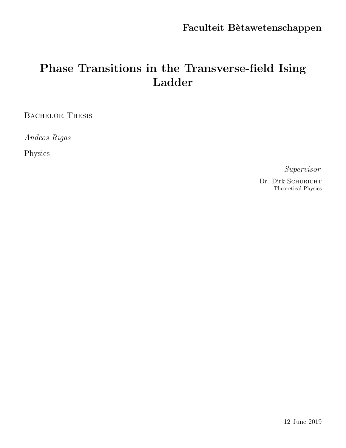# Phase Transitions in the Transverse-field Ising Ladder

BACHELOR THESIS

Andeos Rigas

Physics

Supervisor:

Dr. Dirk SCHURICHT Theoretical Physics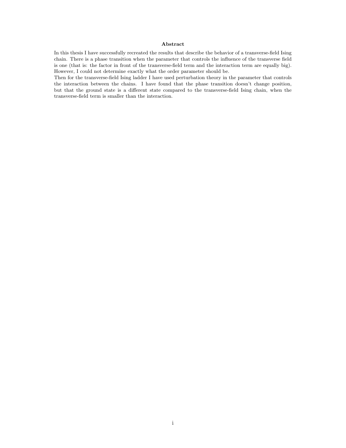#### Abstract

In this thesis I have successfully recreated the results that describe the behavior of a transverse-field Ising chain. There is a phase transition when the parameter that controls the influence of the transverse field is one (that is: the factor in front of the transverse-field term and the interaction term are equally big). However, I could not determine exactly what the order parameter should be.

Then for the transverse-field Ising ladder I have used perturbation theory in the parameter that controls the interaction between the chains. I have found that the phase transition doesn't change position, but that the ground state is a different state compared to the transverse-field Ising chain, when the transverse-field term is smaller than the interaction.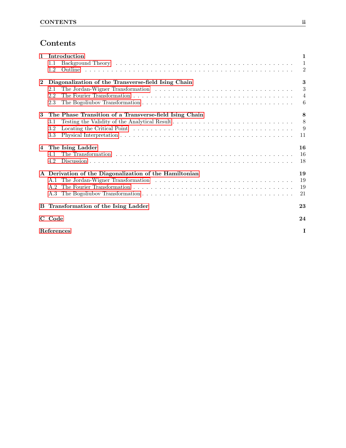# Contents

| $\mathbf{1}$    | Introduction                                           | $\mathbf{1}$   |  |
|-----------------|--------------------------------------------------------|----------------|--|
|                 | $1.1\,$                                                | $\overline{1}$ |  |
|                 | 1.2                                                    | $\overline{2}$ |  |
| $\mathbf{2}$    | Diagonalization of the Transverse-field Ising Chain    | 3              |  |
|                 | 2.1                                                    | 3              |  |
|                 | 2.2                                                    | $\overline{4}$ |  |
|                 | 2.3                                                    | 6              |  |
| 3               | The Phase Transition of a Transverse-field Ising Chain | 8              |  |
|                 | 3.1                                                    | 8              |  |
|                 | 3.2                                                    | 9              |  |
|                 | 3.3                                                    | 11             |  |
| 4               | The Ising Ladder                                       | 16             |  |
|                 | 4.1                                                    | 16             |  |
|                 | 4.2                                                    | 18             |  |
|                 | A Derivation of the Diagonalization of the Hamiltonian | 19             |  |
|                 | A.1                                                    | 19             |  |
|                 | A.2                                                    | 19             |  |
|                 |                                                        | 21             |  |
|                 | <b>B</b> Transformation of the Ising Ladder            | 23             |  |
|                 | C Code                                                 | 24             |  |
| References<br>I |                                                        |                |  |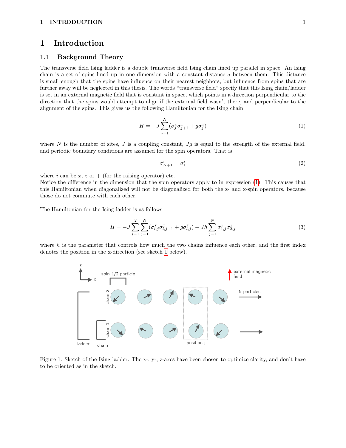## <span id="page-3-0"></span>1 Introduction

#### <span id="page-3-1"></span>1.1 Background Theory

The transverse field Ising ladder is a double transverse field Ising chain lined up parallel in space. An Ising chain is a set of spins lined up in one dimension with a constant distance  $a$  between them. This distance is small enough that the spins have influence on their nearest neighbors, but influence from spins that are further away will be neglected in this thesis. The words "transverse field" specify that this Ising chain/ladder is set in an external magnetic field that is constant in space, which points in a direction perpendicular to the direction that the spins would attempt to align if the external field wasn't there, and perpendicular to the alignment of the spins. This gives us the following Hamiltonian for the Ising chain

<span id="page-3-2"></span>
$$
H = -J\sum_{j=1}^{N} (\sigma_j^x \sigma_{j+1}^x + g\sigma_j^z)
$$
 (1)

where N is the number of sites, J is a coupling constant,  $Jg$  is equal to the strength of the external field, and periodic boundary conditions are assumed for the spin operators. That is

<span id="page-3-5"></span>
$$
\sigma_{N+1}^i = \sigma_1^i \tag{2}
$$

where i can be x, z or  $+$  (for the raising operator) etc.

Notice the difference in the dimension that the spin operators apply to in expression [\(1\)](#page-3-2). This causes that this Hamiltonian when diagonalized will not be diagonalized for both the z- and x-spin operators, because those do not commute with each other.

The Hamiltonian for the Ising ladder is as follows

<span id="page-3-4"></span>
$$
H = -J\sum_{l=1}^{2} \sum_{j=1}^{N} (\sigma_{l,j}^{x} \sigma_{l,j+1}^{x} + g\sigma_{l,j}^{z}) - Jh \sum_{j=1}^{N} \sigma_{1,j}^{z} \sigma_{2,j}^{z}
$$
(3)

<span id="page-3-3"></span>where  $h$  is the parameter that controls how much the two chains influence each other, and the first index denotes the position in the x-direction (see sketch [1](#page-3-3) below).



Figure 1: Sketch of the Ising ladder. The x-, y-, z-axes have been chosen to optimize clarity, and don't have to be oriented as in the sketch.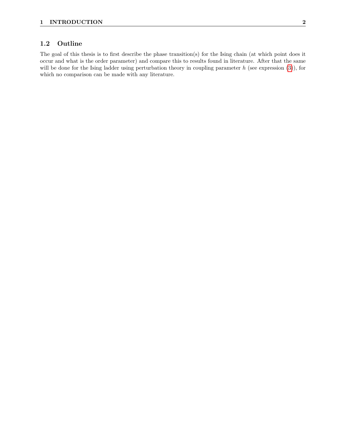#### <span id="page-4-0"></span>1.2 Outline

The goal of this thesis is to first describe the phase transition(s) for the Ising chain (at which point does it occur and what is the order parameter) and compare this to results found in literature. After that the same will be done for the Ising ladder using perturbation theory in coupling parameter  $h$  (see expression [\(3\)](#page-3-4)), for which no comparison can be made with any literature.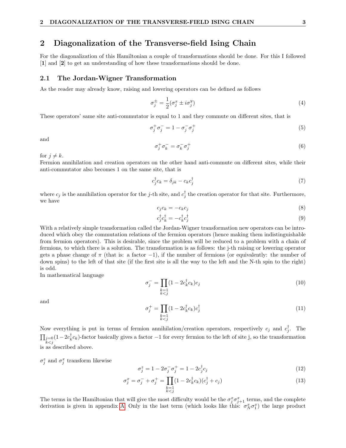## <span id="page-5-0"></span>2 Diagonalization of the Transverse-field Ising Chain

For the diagonalization of this Hamiltonian a couple of transformations should be done. For this I followed [1] and [2] to get an understanding of how these transformations should be done.

#### <span id="page-5-1"></span>2.1 The Jordan-Wigner Transformation

As the reader may already know, raising and lowering operators can be defined as follows

$$
\sigma_j^{\pm} = \frac{1}{2} (\sigma_j^x \pm i \sigma_j^y) \tag{4}
$$

These operators' same site anti-commutator is equal to 1 and they commute on different sites, that is

$$
\sigma_j^+ \sigma_j^- = 1 - \sigma_j^- \sigma_j^+ \tag{5}
$$

and

$$
\sigma_j^+ \sigma_k^- = \sigma_k^- \sigma_j^+ \tag{6}
$$

for  $j \neq k$ .

Fermion annihilation and creation operators on the other hand anti-commute on different sites, while their anti-commutator also becomes 1 on the same site, that is

<span id="page-5-4"></span>
$$
c_j^{\dagger} c_k = \delta_{jk} - c_k c_j^{\dagger} \tag{7}
$$

where  $c_j$  is the annihilation operator for the j-th site, and  $c_j^{\dagger}$  the creation operator for that site. Furthermore, we have

<span id="page-5-5"></span>
$$
c_j c_k = -c_k c_j \tag{8}
$$

<span id="page-5-6"></span>
$$
c_j^{\dagger} c_k^{\dagger} = -c_k^{\dagger} c_j^{\dagger} \tag{9}
$$

With a relatively simple transformation called the Jordan-Wigner transformation new operators can be introduced which obey the commutation relations of the fermion operators (hence making them indistinguishable from fermion operators). This is desirable, since the problem will be reduced to a problem with a chain of fermions, to which there is a solution. The transformation is as follows: the j-th raising or lowering operator gets a phase change of  $\pi$  (that is: a factor -1), if the number of fermions (or equivalently: the number of down spins) to the left of that site (if the first site is all the way to the left and the N-th spin to the right) is odd.

In mathematical language

$$
\sigma_j^- = \prod_{\substack{k=1\\k
$$

and

$$
\sigma_j^+ = \prod_{\substack{k=1\\k
$$

Now everything is put in terms of fermion annihilation/creation operators, respectively  $c_j$  and  $c_j^{\dagger}$ . The  $\prod_{\substack{j=0 \ k < j}} (1-2c_k^{\dagger}c_k)$ -factor basically gives a factor  $-1$  for every fermion to the left of site j, so the transformation is as described above.

 $\sigma_j^z$  and  $\sigma_j^x$  transform likewise

<span id="page-5-2"></span>
$$
\sigma_j^z = 1 - 2\sigma_j^-\sigma_j^+ = 1 - 2c_j^{\dagger}c_j \tag{12}
$$

<span id="page-5-3"></span>
$$
\sigma_j^x = \sigma_j^- + \sigma_j^+ = \prod_{\substack{k=1\\k\n(13)
$$

The terms in the Hamiltonian that will give the most difficulty would be the  $\sigma_j^x \sigma_{j+1}^x$  terms, and the complete derivation is given in appendix [A.](#page-21-0) Only in the last term (which looks like this:  $\sigma_N^x \sigma_1^x$ ) the large product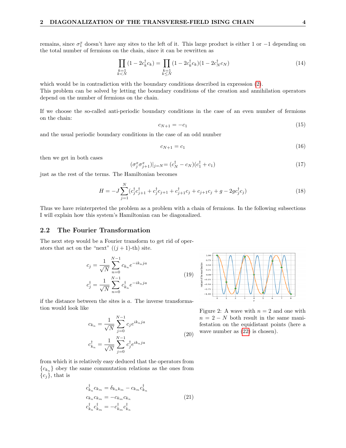remains, since  $\sigma_1^x$  doesn't have any sites to the left of it. This large product is either 1 or  $-1$  depending on the total number of fermions on the chain, since it can be rewritten as

$$
\prod_{\substack{k=1\\k\n(14)
$$

which would be in contradiction with the boundary conditions described in expression [\(2\)](#page-3-5). This problem can be solved by letting the boundary conditions of the creation and annihilation operators depend on the number of fermions on the chain.

If we choose the so-called anti-periodic boundary conditions in the case of an even number of fermions on the chain:

<span id="page-6-3"></span>
$$
c_{N+1} = -c_1 \tag{15}
$$

and the usual periodic boundary conditions in the case of an odd number

<span id="page-6-4"></span>
$$
c_{N+1} = c_1 \tag{16}
$$

then we get in both cases

$$
(\sigma_j^x \sigma_{j+1}^x)|_{j=N} = (c_N^{\dagger} - c_N)(c_1^{\dagger} + c_1)
$$
\n(17)

just as the rest of the terms. The Hamiltonian becomes

<span id="page-6-2"></span>
$$
H = -J\sum_{j=1}^{N} (c_j^{\dagger} c_{j+1}^{\dagger} + c_j^{\dagger} c_{j+1} + c_{j+1}^{\dagger} c_j + c_{j+1} c_j + g - 2g c_j^{\dagger} c_j)
$$
(18)

Thus we have reinterpreted the problem as a problem with a chain of fermions. In the following subsections I will explain how this system's Hamiltonian can be diagonalized.

#### <span id="page-6-0"></span>2.2 The Fourier Transformation

The next step would be a Fourier transform to get rid of operators that act on the "next"  $((j + 1)$ -th) site.

$$
c_j = \frac{1}{\sqrt{N}} \sum_{n=0}^{N-1} c_{k_n} e^{-ik_n j a}
$$
  

$$
c_j^{\dagger} = \frac{1}{\sqrt{N}} \sum_{n=0}^{N-1} c_{k_n}^{\dagger} e^{-ik_n j a}
$$
 (19)

if the distance between the sites is  $a$ . The inverse transformation would look like

$$
c_{k_n} = \frac{1}{\sqrt{N}} \sum_{j=0}^{N-1} c_j e^{ik_n j a}
$$
  

$$
c_{k_n}^{\dagger} = \frac{1}{\sqrt{N}} \sum_{j=0}^{N-1} c_j^{\dagger} e^{ik_n j a}
$$
 (20)

<span id="page-6-1"></span>

Figure 2: A wave with  $n = 2$  and one with  $n = 2 - N$  both result in the same manifestation on the equidistant points (here a wave number as  $(22)$  is chosen).

from which it is relatively easy deduced that the operators from  ${c_{k_n}}$  obey the same commutation relations as the ones from  ${c_j}$ , that is

$$
c_{k_n}^{\dagger} c_{k_m} = \delta_{k_n k_m} - c_{k_m} c_{k_n}^{\dagger}
$$
  
\n
$$
c_{k_n} c_{k_m} = -c_{k_m} c_{k_n}
$$
  
\n
$$
c_{k_n}^{\dagger} c_{k_m}^{\dagger} = -c_{k_m}^{\dagger} c_{k_n}^{\dagger}
$$
\n(21)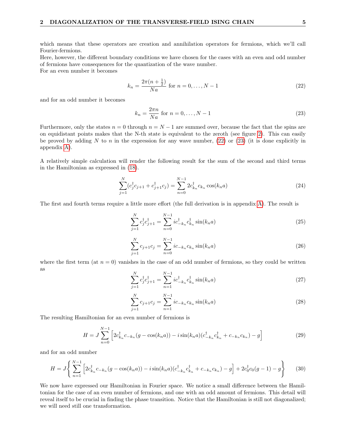which means that these operators are creation and annihilation operators for fermions, which we'll call Fourier-fermions.

Here, however, the different boundary conditions we have chosen for the cases with an even and odd number of fermions have consequences for the quantization of the wave number. For an even number it becomes

> <span id="page-7-0"></span> $k_n = \frac{2\pi(n+\frac{1}{2})}{N}$  $\frac{n+2j}{Na}$  for  $n = 0, ..., N-1$  (22)

and for an odd number it becomes

<span id="page-7-1"></span>
$$
k_n = \frac{2\pi n}{Na} \text{ for } n = 0, \dots, N - 1
$$
\n
$$
(23)
$$

Furthermore, only the states  $n = 0$  through  $n = N - 1$  are summed over, because the fact that the spins are on equidistant points makes that the N-th state is equivalent to the zeroth (see figure [2\)](#page-6-1). This can easily be proved by adding N to n in the expression for any wave number,  $(22)$  or  $(23)$  (it is done explicitly in appendix [A\)](#page-21-0).

A relatively simple calculation will render the following result for the sum of the second and third terms in the Hamiltonian as expressed in [\(18\)](#page-6-2).

<span id="page-7-2"></span>
$$
\sum_{j=1}^{N} (c_j^{\dagger} c_{j+1} + c_{j+1}^{\dagger} c_j) = \sum_{n=0}^{N-1} 2c_{k_n}^{\dagger} c_{k_n} \cos(k_n a)
$$
\n(24)

The first and fourth terms require a little more effort (the full derivation is in appendix [A\)](#page-21-0). The result is

<span id="page-7-3"></span>
$$
\sum_{j=1}^{N} c_j^{\dagger} c_{j+1}^{\dagger} = \sum_{n=0}^{N-1} i c_{-k_n}^{\dagger} c_{k_n}^{\dagger} \sin(k_n a)
$$
\n(25)

<span id="page-7-4"></span>
$$
\sum_{j=1}^{N} c_{j+1} c_j = \sum_{n=0}^{N-1} i c_{-k_n} c_{k_n} \sin(k_n a)
$$
\n(26)

where the first term (at  $n = 0$ ) vanishes in the case of an odd number of fermions, so they could be written as

$$
\sum_{j=1}^{N} c_j^{\dagger} c_{j+1}^{\dagger} = \sum_{n=1}^{N-1} i c_{-k_n}^{\dagger} c_{k_n}^{\dagger} \sin(k_n a)
$$
\n(27)

$$
\sum_{j=1}^{N} c_{j+1} c_j = \sum_{n=1}^{N-1} i c_{-k_n} c_{k_n} \sin(k_n a)
$$
\n(28)

The resulting Hamiltonian for an even number of fermions is

<span id="page-7-5"></span>
$$
H = J \sum_{n=0}^{N-1} \left[ 2c_{k_n}^{\dagger} c_{-k_n} (g - \cos(k_n a)) - i \sin(k_n a) (c_{-k_n}^{\dagger} c_{k_n}^{\dagger} + c_{-k_n} c_{k_n}) - g \right]
$$
(29)

and for an odd number

<span id="page-7-6"></span>
$$
H = J \left\{ \sum_{n=1}^{N-1} \left[ 2c_{k_n}^{\dagger} c_{-k_n} (g - \cos(k_n a)) - i \sin(k_n a) (c_{-k_n}^{\dagger} c_{k_n}^{\dagger} + c_{-k_n} c_{k_n}) - g \right] + 2c_0^{\dagger} c_0 (g - 1) - g \right\}
$$
(30)

We now have expressed our Hamiltonian in Fourier space. We notice a small difference between the Hamiltonian for the case of an even number of fermions, and one with an odd amount of fermions. This detail will reveal itself to be crucial in finding the phase transition. Notice that the Hamiltonian is still not diagonalized; we will need still one transformation.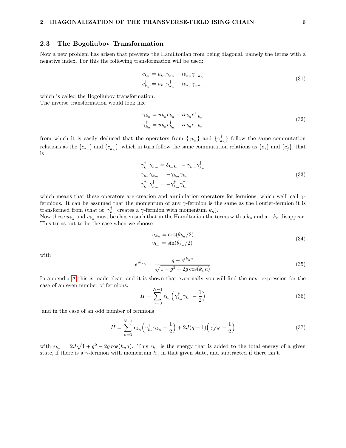#### <span id="page-8-0"></span>2.3 The Bogoliubov Transformation

Now a new problem has arisen that prevents the Hamiltonian from being diagonal, namely the terms with a negative index. For this the following transformation will be used:

$$
c_{k_n} = u_{k_n} \gamma_{k_n} + iv_{k_n} \gamma_{-k_n}^{\dagger}
$$
  
\n
$$
c_{k_n}^{\dagger} = u_{k_n} \gamma_{k_n}^{\dagger} - iv_{k_n} \gamma_{-k_n}
$$
\n(31)

<span id="page-8-3"></span>which is called the Bogoliubov transformation. The inverse transformation would look like

$$
\gamma_{k_n} = u_{k_n} c_{k_n} - i v_{k_n} c_{-k_n}^{\dagger}
$$
  
\n
$$
\gamma_{k_n}^{\dagger} = u_{k_n} c_{k_n}^{\dagger} + i v_{k_n} c_{-k_n}
$$
\n(32)

from which it is easily deduced that the operators from  $\{\gamma_{k_n}\}\$  and  $\{\gamma_{k_n}^{\dagger}\}\$  follow the same commutation relations as the  $\{c_{k_n}\}\$  and  $\{c_{k_n}^{\dagger}\}\$ , which in turn follow the same commutation relations as  $\{c_j\}$  and  $\{c_j^{\dagger}\}\$ , that is

$$
\begin{aligned}\n\gamma_{k_n}^{\dagger} \gamma_{k_m} &= \delta_{k_n k_m} - \gamma_{k_m} \gamma_{k_n}^{\dagger} \\
\gamma_{k_n} \gamma_{k_m} &= -\gamma_{k_m} \gamma_{k_n} \\
\gamma_{k_n}^{\dagger} \gamma_{k_m}^{\dagger} &= -\gamma_{k_m}^{\dagger} \gamma_{k_n}^{\dagger}\n\end{aligned} \tag{33}
$$

which means that these operators are creation and annihilation operators for fermions, which we'll call  $\gamma$ fermions. It can be assumed that the momentum of any  $\gamma$ -fermion is the same as the Fourier-fermion it is transformed from (that is:  $\gamma_{k_n}^{\dagger}$  creates a  $\gamma$ -fermion with momentum  $k_n$ ).

Now these  $u_{k_n}$  and  $v_{k_n}$  must be chosen such that in the Hamiltonian the terms with a  $k_n$  and a  $-k_n$  disappear. This turns out to be the case when we choose

$$
u_{k_n} = \cos(\theta_{k_n}/2)
$$
  
\n
$$
v_{k_n} = \sin(\theta_{k_n}/2)
$$
\n(34)

<span id="page-8-4"></span>with

<span id="page-8-5"></span>
$$
e^{i\theta_{k_n}} = \frac{g - e^{ik_n a}}{\sqrt{1 + g^2 - 2g\cos(k_n a)}}
$$
(35)

In appendix [A](#page-21-0) this is made clear, and it is shown that eventually you will find the next expression for the case of an even number of fermions.

<span id="page-8-1"></span>
$$
H = \sum_{n=0}^{N-1} \epsilon_{k_n} \left( \gamma_{k_n}^{\dagger} \gamma_{k_n} - \frac{1}{2} \right)
$$
 (36)

and in the case of an odd number of fermions

<span id="page-8-2"></span>
$$
H = \sum_{n=1}^{N-1} \epsilon_{k_n} \left( \gamma_{k_n}^\dagger \gamma_{k_n} - \frac{1}{2} \right) + 2J(g-1) \left( \gamma_0^\dagger \gamma_0 - \frac{1}{2} \right) \tag{37}
$$

with  $\epsilon_{k_n} = 2J\sqrt{1+g^2-2g\cos(k_na)}$ . This  $\epsilon_{k_n}$  is the energy that is added to the total energy of a given state, if there is a  $\gamma$ -fermion with momentum  $k_n$  in that given state, and subtracted if there isn't.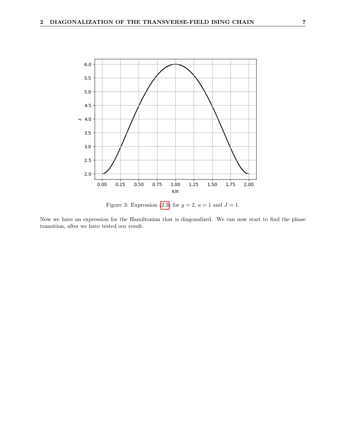

Figure 3: Expression [\(2.3\)](#page-8-1) for  $g = 2$ ,  $a = 1$  and  $J = 1$ .

Now we have an expression for the Hamiltonian that is diagonalized. We can now start to find the phase transition, after we have tested our result.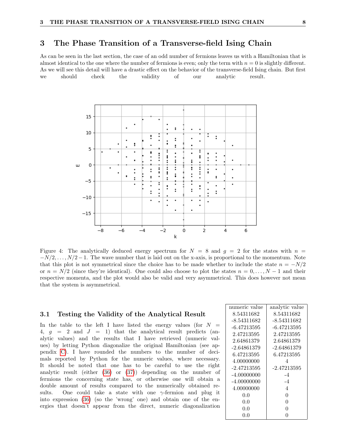## <span id="page-10-0"></span>3 The Phase Transition of a Transverse-field Ising Chain

<span id="page-10-2"></span>As can be seen in the last section, the case of an odd number of fermions leaves us with a Hamiltonian that is almost identical to the one where the number of fermions is even; only the term with  $n = 0$  is slightly different. As we will see this detail will have a drastic effect on the behavior of the transverse-field Ising chain. But first we should check the validity of our analytic result.



Figure 4: The analytically deduced energy spectrum for  $N = 8$  and  $g = 2$  for the states with  $n =$  $-N/2, \ldots, N/2-1$ . The wave number that is laid out on the x-axis, is proportional to the momentum. Note that this plot is not symmetrical since the choice has to be made whether to include the state  $n = -N/2$ or  $n = N/2$  (since they're identical). One could also choose to plot the states  $n = 0, \ldots, N-1$  and their respective momenta, and the plot would also be valid and very asymmetrical. This does however not mean that the system is asymmetrical.

#### <span id="page-10-1"></span>3.1 Testing the Validity of the Analytical Result

In the table to the left I have listed the energy values (for  $N =$ 4,  $g = 2$  and  $J = 1$ ) that the analytical result predicts (analytic values) and the results that I have retrieved (numeric values) by letting Python diagonalize the original Hamiltonian (see appendix [C\)](#page-26-0). I have rounded the numbers to the number of decimals reported by Python for the numeric values, where necessary. It should be noted that one has to be careful to use the right analytic result (either [\(36\)](#page-8-1) or [\(37\)](#page-8-2)) depending on the number of fermions the concerning state has, or otherwise one will obtain a double amount of results compared to the numerically obtained results. One could take a state with one  $\gamma$ -fermion and plug it into expression [\(36\)](#page-8-1) (so the 'wrong' one) and obtain one of the energies that doesn't appear from the direct, numeric diagonalization

| numeric value | analytic value |
|---------------|----------------|
| 8.54311682    | 8.54311682     |
| -8.54311682   | -8.54311682    |
| $-6.47213595$ | -6.47213595    |
| 2.47213595    | 2.47213595     |
| 2.64861379    | 2.64861379     |
| -2.64861379   | -2.64861379    |
| 6.47213595    | 6.47213595     |
| 4.00000000    | 4              |
| -2.47213595   | -2.47213595    |
| -4.00000000   | -4             |
| $-4.00000000$ | $-4$           |
| 4.00000000    | 4              |
| 0.0           | 0              |
| 0.0           | 0              |
| 0.0           | O              |
| (0.0)         |                |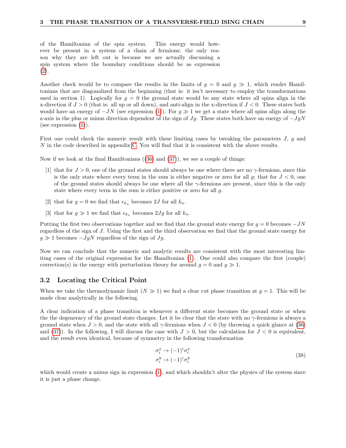of the Hamiltonian of the spin system. This energy would however be present in a system of a chain of fermions; the only reason why they are left out is because we are actually discussing a spin system where the boundary conditions should be as expression [\(2\)](#page-3-5).

Another check would be to compare the results in the limits of  $q = 0$  and  $q \gg 1$ , which render Hamiltonians that are diagonalized from the beginning (that is: it isn't necessary to employ the transformations used in section 1). Logically for  $g = 0$  the ground state would be any state where all spins align in the x-direction if  $J > 0$  (that is: all up or all down), and anti-align in the x-direction if  $J < 0$ . These states both would have an energy of  $-JN$  (see expression [\(1\)](#page-3-2)). For  $g \gg 1$  we get a state where all spins align along the z-axis in the plus or minus direction dependent of the sign of  $Jg$ . These states both have an energy of  $-JgN$ (see expression  $(1)$ ).

First one could check the numeric result with these limiting cases by tweaking the parameters  $J$ ,  $q$  and N in the code described in appendix [C.](#page-26-0) You will find that it is consistent with the above results.

Now if we look at the final Hamiltonians  $((36)$  $((36)$  and  $(37))$  $(37))$ , we see a couple of things:

- [1] that for  $J > 0$ , one of the ground states should always be one where there are no  $\gamma$ -fermions, since this is the only state where every term in the sum is either negative or zero for all  $g$ ; that for  $J < 0$ , one of the ground states should always be one where all the  $\gamma$ -fermions are present, since this is the only state where every term in the sum is either positive or zero for all g.
- [2] that for  $g = 0$  we find that  $\epsilon_{k_n}$  becomes 2J for all  $k_n$ .
- [3] that for  $g \gg 1$  we find that  $\epsilon_{k_n}$  becomes  $2Jg$  for all  $k_n$ .

Putting the first two observations together and we find that the ground state energy for  $g = 0$  becomes  $-JN$ regardless of the sign of J. Using the first and the third observation we find that the ground state energy for  $g \gg 1$  becomes  $-JgN$  regardless of the sign of  $Jg$ .

Now we can conclude that the numeric and analytic results are consistent with the most interesting limiting cases of the original expression for the Hamiltonian [\(1\)](#page-3-2). One could also compare the first (couple) correction(s) in the energy with perturbation theory for around  $g = 0$  and  $g \gg 1$ .

#### <span id="page-11-0"></span>3.2 Locating the Critical Point

When we take the thermodynamic limit  $(N \gg 1)$  we find a clear cut phase transition at  $q = 1$ . This will be made clear analytically in the following.

A clear indication of a phase transition is whenever a different state becomes the ground state or when the the degeneracy of the ground state changes. Let it be clear that the state with no γ-fermions is always a ground state when  $J > 0$ , and the state with all  $\gamma$ -fermions when  $J < 0$  (by throwing a quick glance at [\(36\)](#page-8-1) and [\(37\)](#page-8-2)). In the following, I will discuss the case with  $J > 0$ , but the calculation for  $J < 0$  is equivalent, and the result even identical, because of symmetry in the following transformation

$$
\sigma_i^x \to (-1)^i \sigma_i^x
$$
  
\n
$$
\sigma_i^y \to (-1)^i \sigma_i^y
$$
\n(38)

which would create a minus sign in expression  $(1)$ , and which shouldn't alter the physics of the system since it is just a phase change.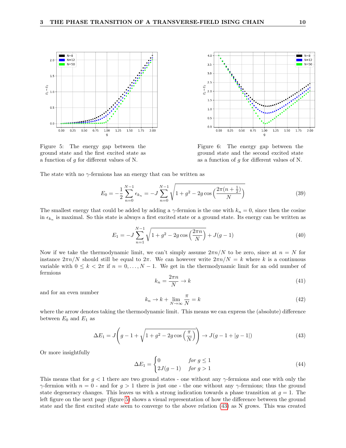<span id="page-12-0"></span>

Figure 5: The energy gap between the ground state and the first excited state as a function of  $g$  for different values of N.



Figure 6: The energy gap between the ground state and the second excited state as a function of  $q$  for different values of N.

The state with no  $\gamma$ -fermions has an energy that can be written as

$$
E_0 = -\frac{1}{2} \sum_{n=0}^{N-1} \epsilon_{k_n} = -J \sum_{n=0}^{N-1} \sqrt{1 + g^2 - 2g \cos\left(\frac{2\pi(n + \frac{1}{2})}{N}\right)}\tag{39}
$$

The smallest energy that could be added by adding a  $\gamma$ -fermion is the one with  $k_n = 0$ , since then the cosine in  $\epsilon_{k_n}$  is maximal. So this state is always a first excited state or a ground state. Its energy can be written as

$$
E_1 = -J\sum_{n=1}^{N-1} \sqrt{1 + g^2 - 2g\cos\left(\frac{2\pi n}{N}\right)} + J(g-1)
$$
\n(40)

Now if we take the thermodynamic limit, we can't simply assume  $2\pi n/N$  to be zero, since at  $n = N$  for instance  $2\pi n/N$  should still be equal to  $2\pi$ . We can however write  $2\pi n/N = k$  where k is a continuous variable with  $0 \leq k < 2\pi$  if  $n = 0, \ldots, N - 1$ . We get in the thermodynamic limit for an odd number of fermions

<span id="page-12-2"></span>
$$
k_n = \frac{2\pi n}{N} \to k \tag{41}
$$

and for an even number

<span id="page-12-3"></span>
$$
k_n \to k + \lim_{N \to \infty} \frac{\pi}{N} = k \tag{42}
$$

where the arrow denotes taking the thermodynamic limit. This means we can express the (absolute) difference between  $E_0$  and  $E_1$  as

<span id="page-12-1"></span>
$$
\Delta E_1 = J\left(g - 1 + \sqrt{1 + g^2 - 2g\cos\left(\frac{\pi}{N}\right)}\right) \to J(g - 1 + |g - 1|)
$$
\n(43)

Or more insightfully

$$
\Delta E_1 = \begin{cases} 0 & \text{for } g \le 1 \\ 2J(g-1) & \text{for } g > 1 \end{cases}
$$
 (44)

This means that for  $g < 1$  there are two ground states - one without any  $\gamma$ -fermions and one with only the  $\gamma$ -fermion with  $n = 0$  - and for  $g > 1$  there is just one - the one without any  $\gamma$ -fermions; thus the ground state degeneracy changes. This leaves us with a strong indication towards a phase transition at  $g = 1$ . The left figure on the next page (figure [5\)](#page-12-0) shows a visual representation of how the difference between the ground state and the first excited state seem to converge to the above relation [\(43\)](#page-12-1) as N grows. This was created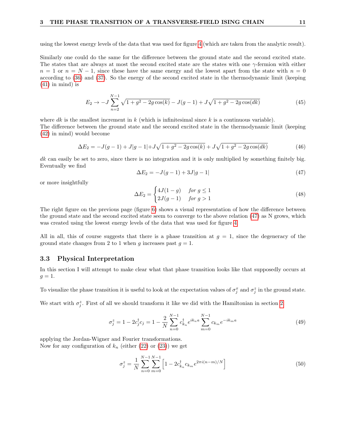using the lowest energy levels of the data that was used for figure [4](#page-10-2) (which are taken from the analytic result).

Similarly one could do the same for the difference between the ground state and the second excited state. The states that are always at most the second excited state are the states with one  $\gamma$ -fermion with either  $n = 1$  or  $n = N - 1$ , since these have the same energy and the lowest apart from the state with  $n = 0$ according to [\(36\)](#page-8-1) and [\(37\)](#page-8-2). So the energy of the second excited state in the thermodynamic limit (keeping  $(41)$  in mind) is

$$
E_2 \to -J\sum_{n=2}^{N-1} \sqrt{1+g^2 - 2g\cos(k)} - J(g-1) + J\sqrt{1+g^2 - 2g\cos(dk)}\tag{45}
$$

where dk is the smallest increment in  $k$  (which is infinitesimal since k is a continuous variable).

The difference between the ground state and the second excited state in the thermodynamic limit (keeping [\(42\)](#page-12-3) in mind) would become

$$
\Delta E_2 = -J(g-1) + J|g-1| + J\sqrt{1+g^2 - 2g\cos(k)} + J\sqrt{1+g^2 - 2g\cos(dk)}\tag{46}
$$

dk can easily be set to zero, since there is no integration and it is only multiplied by something finitely big. Eventually we find

<span id="page-13-1"></span>
$$
\Delta E_2 = -J(g-1) + 3J|g-1| \tag{47}
$$

or more insightfully

$$
\Delta E_2 = \begin{cases} 4J(1-g) & \text{for } g \le 1\\ 2J(g-1) & \text{for } g > 1 \end{cases}
$$
\n(48)

The right figure on the previous page (figure [6\)](#page-12-0) shows a visual representation of how the difference between the ground state and the second excited state seem to converge to the above relation [\(47\)](#page-13-1) as N grows, which was created using the lowest energy levels of the data that was used for figure [4.](#page-10-2)

All in all, this of course suggests that there is a phase transition at  $g = 1$ , since the degeneracy of the ground state changes from 2 to 1 when g increases past  $g = 1$ .

#### <span id="page-13-0"></span>3.3 Physical Interpretation

In this section I will attempt to make clear what that phase transition looks like that supposedly occurs at  $q=1$ .

To visualize the phase transition it is useful to look at the expectation values of  $\sigma_j^x$  and  $\sigma_j^z$  in the ground state.

We start with  $\sigma_j^z$ . First of all we should transform it like we did with the Hamiltonian in section [2.](#page-5-0)

$$
\sigma_j^z = 1 - 2c_j^{\dagger} c_j = 1 - \frac{2}{N} \sum_{n=0}^{N-1} c_{k_n}^{\dagger} e^{ik_n a} \sum_{m=0}^{N-1} c_{k_m} e^{-ik_m a}
$$
(49)

applying the Jordan-Wigner and Fourier transformations. Now for any configuration of  $k_n$  (either [\(22\)](#page-7-0) or [\(23\)](#page-7-1)) we get

$$
\sigma_j^z = \frac{1}{N} \sum_{n=0}^{N-1} \sum_{m=0}^{N-1} \left[ 1 - 2c_{k_n}^\dagger c_{k_m} e^{2\pi i (n-m)/N} \right] \tag{50}
$$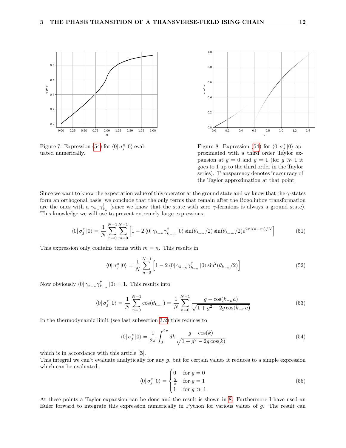<span id="page-14-1"></span>

Figure 7: Expression [\(54\)](#page-14-0) for  $\langle 0 | \sigma_j^z | 0 \rangle$  evaluated numerically.



Figure 8: Expression [\(54\)](#page-14-0) for  $\langle 0 | \sigma_j^z | 0 \rangle$  approximated with a third order Taylor expansion at  $g = 0$  and  $g = 1$  (for  $g \gg 1$  it goes to 1 up to the third order in the Taylor series). Transparency denotes inaccuracy of the Taylor approximation at that point.

Since we want to know the expectation value of this operator at the ground state and we know that the  $\gamma$ -states form an orthogonal basis, we conclude that the only terms that remain after the Bogoliubov transformation are the ones with a  $\gamma_{k_n} \gamma_{k_n}^{\dagger}$  (since we know that the state with zero  $\gamma$ -fermions is always a ground state). This knowledge we will use to prevent extremely large expressions.

$$
\langle 0 | \sigma_j^z | 0 \rangle = \frac{1}{N} \sum_{n=0}^{N-1} \sum_{m=0}^{N-1} \left[ 1 - 2 \langle 0 | \gamma_{k-n} \gamma_{k-m}^\dagger | 0 \rangle \sin(\theta_{k-n}/2) \sin(\theta_{k-m}/2) e^{2\pi i (n-m)/N} \right] \tag{51}
$$

This expression only contains terms with  $m = n$ . This results in

$$
\langle 0 | \sigma_j^z | 0 \rangle = \frac{1}{N} \sum_{n=0}^{N-1} \left[ 1 - 2 \langle 0 | \gamma_{k-n} \gamma_{k-n}^\dagger | 0 \rangle \sin^2(\theta_{k-n}/2) \right]
$$
(52)

Now obviously  $\langle 0 | \gamma_{k_{-n}} \gamma_{k_{-n}}^{\dagger} | 0 \rangle = 1$ . This results into

$$
\langle 0 | \sigma_j^z | 0 \rangle = \frac{1}{N} \sum_{n=0}^{N-1} \cos(\theta_{k-n}) = \frac{1}{N} \sum_{n=0}^{N-1} \frac{g - \cos(k_{-n}a)}{\sqrt{1 + g^2 - 2g \cos(k_{-n}a)}}
$$
(53)

In the thermodynamic limit (see last subsection [3.2\)](#page-11-0) this reduces to

<span id="page-14-0"></span>
$$
\langle 0 | \sigma_j^z | 0 \rangle = \frac{1}{2\pi} \int_0^{2\pi} dk \frac{g - \cos(k)}{\sqrt{1 + g^2 - 2g \cos(k)}}
$$
(54)

which is in accordance with this article [3].

This integral we can't evaluate analytically for any g, but for certain values it reduces to a simple expression which can be evaluated.

$$
\langle 0 | \sigma_j^z | 0 \rangle = \begin{cases} 0 & \text{for } g = 0 \\ \frac{2}{\pi} & \text{for } g = 1 \\ 1 & \text{for } g \gg 1 \end{cases} \tag{55}
$$

At these points a Taylor expansion can be done and the result is shown in [8.](#page-14-1) Furthermore I have used an Euler forward to integrate this expression numerically in Python for various values of g. The result can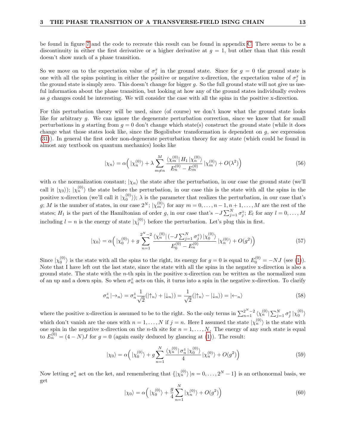be found in figure [7](#page-14-1) and the code to recreate this result can be found in appendix [C.](#page-26-0) There seems to be a discontinuity in either the first derivative or a higher derivative at  $g = 1$ , but other than that this result doesn't show much of a phase transition.

So we move on to the expectation value of  $\sigma_j^x$  in the ground state. Since for  $g = 0$  the ground state is one with all the spins pointing in either the positive or negative x-direction, the expectation value of  $\sigma_j^x$  in the ground state is simply zero. This doesn't change for bigger  $q$ . So the full ground state will not give us useful information about the phase transition, but looking at how any of the ground states individually evolves as g changes could be interesting. We will consider the case with all the spins in the positive x-direction.

For this perturbation theory will be used, since (of course) we don't know what the ground state looks like for arbitrary g. We can ignore the degenerate perturbation correction, since we know that for small perturbations in q starting from  $q = 0$  don't change which state(s) construct the ground state (while it does change what those states look like, since the Bogoliubov transformation is dependent on  $q$ , see expression [\(31\)](#page-8-3)). In general the first order non-degenerate perturbation theory for any state (which could be found in almost any textbook on quantum mechanics) looks like

<span id="page-15-0"></span>
$$
|\chi_n\rangle = \alpha \Big( |\chi_n^{(0)}\rangle + \lambda \sum_{m \neq n}^{M} \frac{\langle \chi_m^{(0)} | H_1 | \chi_n^{(0)} \rangle}{E_n^{(0)} - E_m^{(0)}} |\chi_m^{(0)}\rangle + O(\lambda^2) \Big)
$$
(56)

with  $\alpha$  the normalization constant;  $|\chi_n\rangle$  the state after the perturbation, in our case the ground state (we'll call it  $|\chi_0\rangle$ ;  $|\chi_n^{(0)}\rangle$  the state before the perturbation, in our case this is the state with all the spins in the positive x-direction (we'll call it  $|\chi_0^{(0)}\rangle$ );  $\lambda$  is the parameter that realizes the perturbation, in our case that's g; M is the number of states, in our case  $2^N$ ;  $\ket{\chi_m^{(0)}}$  for any  $m = 0, \ldots, n-1, n+1, \ldots, M$  are the rest of the states;  $H_1$  is the part of the Hamiltonian of order g, in our case that's  $-J \sum_{j=1}^N \sigma_j^z$ ;  $E_l$  for any  $l=0,\ldots,M$ including  $l = n$  is the energy of state  $|\chi_l^{(0)}|$  $\binom{[0]}{l}$  before the perturbation. Let's plug this in first.

$$
|\chi_0\rangle = \alpha \left( |\chi_0^{(0)}\rangle + g \sum_{n=1}^{2^N - 2} \frac{\langle \chi_n^{(0)} | (-J \sum_{j=1}^N \sigma_j^z) | \chi_0^{(0)} \rangle}{E_0^{(0)} - E_n^{(0)}} |\chi_n^{(0)}\rangle + O(g^2) \right)
$$
(57)

Since  $|\chi_0^{(0)}\rangle$  is the state with all the spins to the right, its energy for  $g=0$  is equal to  $E_0^{(0)} = -NJ$  (see [\(1\)](#page-3-2)). Note that I have left out the last state, since the state with all the spins in the negative x-direction is also a ground state. The state with the  $n$ -th spin in the positive x-direction can be written as the normalized sum of an up and a down spin. So when  $\sigma_n^z$  acts on this, it turns into a spin in the negative x-direction. To clarify

$$
\sigma_n^z \left| \to_n \right\rangle = \sigma_n^z \frac{1}{\sqrt{2}} (\left| \uparrow_n \right\rangle + \left| \downarrow_n \right\rangle) = \frac{1}{\sqrt{2}} (\left| \uparrow_n \right\rangle - \left| \downarrow_n \right\rangle) = \left| \leftarrow_n \right\rangle \tag{58}
$$

where the positive x-direction is assumed to be to the right. So the only terms in  $\sum_{n=1}^{2^N-2} \langle \chi_n^{(0)} | \sum_{j=1}^N \sigma_j^z | \chi_0^{(0)} \rangle$ which don't vanish are the ones with  $n = 1, ..., N$  if  $j = n$ . Here I assumed the state  $|\chi_n^{(0)}\rangle$  is the state with one spin in the negative x-direction on the *n*-th site for  $n = 1, ..., N$ . The energy of any such state is equal to  $E_n^{(0)} = (4 - N)J$  for  $g = 0$  (again easily deduced by glancing at [\(1\)](#page-3-2)). The result:

$$
|\chi_0\rangle = \alpha \left( |\chi_0^{(0)}\rangle + g \sum_{n=1}^N \frac{\langle \chi_n^{(0)} | \sigma_n^z | \chi_0^{(0)} \rangle}{4} | \chi_n^{(0)}\rangle + O(g^2) \right) \tag{59}
$$

Now letting  $\sigma_n^z$  act on the ket, and remembering that  $\{|\chi_n^{(0)}\rangle | n = 0, \ldots, 2^N - 1\}$  is an orthonormal basis, we get

$$
|\chi_0\rangle = \alpha \left( |\chi_0^{(0)}\rangle + \frac{g}{4} \sum_{n=1}^N |\chi_n^{(0)}\rangle + O(g^2) \right)
$$
 (60)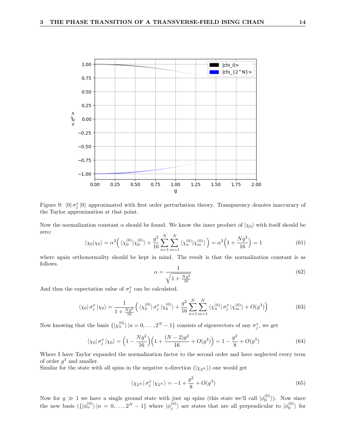

Figure 9:  $\langle 0 | \sigma_j^x | 0 \rangle$  approximated with first order perturbation theory. Transparency denotes inaccuracy of the Taylor approximation at that point.

Now the normalization constant  $\alpha$  should be found. We know the inner product of  $|\chi_0\rangle$  with itself should be zero:

$$
\langle \chi_0 | \chi_0 \rangle = \alpha^2 \left( \langle \chi_0^{(0)} | \chi_0^{(0)} \rangle + \frac{g^2}{16} \sum_{n=1}^N \sum_{m=1}^N \langle \chi_n^{(0)} | \chi_m^{(0)} \rangle \right) = \alpha^2 \left( 1 + \frac{Ng^2}{16} \right) = 1 \tag{61}
$$

where again orthonormality should be kept in mind. The result is that the normalization constant is as follows.

$$
\alpha = \frac{1}{\sqrt{1 + \frac{Ng^2}{16}}} \tag{62}
$$

And thus the expectation value of  $\sigma_j^x$  can be calculated.

$$
\langle \chi_0 | \sigma_j^x | \chi_0 \rangle = \frac{1}{1 + \frac{N g^2}{16}} \Big( \langle \chi_0^{(0)} | \sigma_j^x | \chi_0^{(0)} \rangle + \frac{g^2}{16} \sum_{n=1}^N \sum_{m=1}^N \langle \chi_n^{(0)} | \sigma_j^x | \chi_m^{(0)} \rangle + O(g^3) \Big) \tag{63}
$$

Now knowing that the basis  $\{|\chi_n^{(0)}\rangle | n = 0, \ldots, 2^N - 1\}$  consists of eigenvectors of any  $\sigma_j^x$ , we get

$$
\langle \chi_0 | \sigma_j^x | \chi_0 \rangle = \left( 1 - \frac{Ng^2}{16} \right) \left( 1 + \frac{(N-2)g^2}{16} + O(g^3) \right) = 1 - \frac{g^2}{8} + O(g^3)
$$
(64)

Where I have Taylor expanded the normalization factor to the second order and have neglected every term of order  $g^3$  and smaller.

Similar for the state with all spins in the negative x-direction  $(|\chi_{2^N}\rangle)$  one would get

$$
\langle \chi_{2^N} | \sigma_j^x | \chi_{2^N} \rangle = -1 + \frac{g^2}{8} + O(g^3)
$$
\n(65)

Now for  $g \gg 1$  we have a single ground state with just up spins (this state we'll call  $|\phi_0^{(0)}\rangle$ ). Now since the new basis  $({\vert \phi_n^{(0)} \rangle \vert n = 0, \ldots, 2^N - 1}$  where  $\vert \phi_j^{(0)} \rangle$  are states that are all perpendicular to  $\vert \phi_0^{(0)} \rangle$  for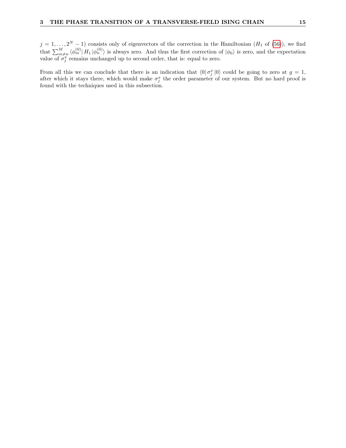$j = 1, \ldots, 2^N - 1$  consists only of eigenvectors of the correction in the Hamiltonian  $(H_1 \text{ of } (56))$  $(H_1 \text{ of } (56))$  $(H_1 \text{ of } (56))$ , we find that  $\sum_{m\neq n}^{M} \langle \phi_m^{(0)} | H_1 | \phi_n^{(0)} \rangle$  is always zero. And thus the first correction of  $|\phi_0\rangle$  is zero, and the expectation value of  $\sigma_j^x$  remains unchanged up to second order, that is: equal to zero.

From all this we can conclude that there is an indication that  $\langle 0 | \sigma_j^x | 0 \rangle$  could be going to zero at  $g = 1$ , after which it stays there, which would make  $\sigma_j^x$  the order parameter of our system. But no hard proof is found with the techniques used in this subsection.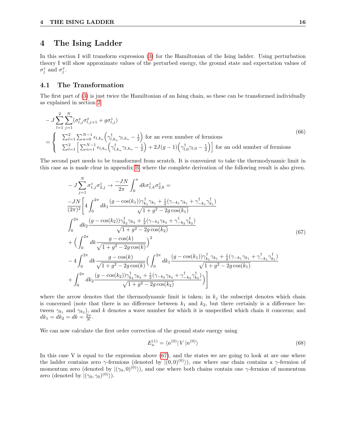## <span id="page-18-0"></span>4 The Ising Ladder

In this section I will transform expression [\(3\)](#page-3-4) for the Hamiltonian of the Ising ladder. Using perturbation theory I will show approximate values of the perturbed energy, the ground state and expectation values of  $\sigma_j^z$  and  $\sigma_j^x$ .

#### <span id="page-18-1"></span>4.1 The Transformation

The first part of [\(3\)](#page-3-4) is just twice the Hamiltonian of an Ising chain, so these can be transformed individually as explained in section [2.](#page-5-0)

$$
- J \sum_{l=1}^{2} \sum_{j=1}^{N} (\sigma_{l,j}^{x} \sigma_{l,j+1}^{x} + g \sigma_{l,j}^{z})
$$
  
= 
$$
\begin{cases} \sum_{l=1}^{2} \sum_{n=0}^{N-1} \epsilon_{l,k_n} \left( \gamma_{l,k_n}^{\dagger} \gamma_{l,k_n} - \frac{1}{2} \right) \text{ for an even number of fermions} \\ \sum_{l=1}^{2} \left[ \sum_{n=1}^{N-1} \epsilon_{l,k_n} \left( \gamma_{l,k_n}^{\dagger} \gamma_{l,k_n} - \frac{1}{2} \right) + 2J(g-1) \left( \gamma_{l,0}^{\dagger} \gamma_{l,0} - \frac{1}{2} \right) \right] \text{ for an odd number of fermions} \end{cases}
$$
(66)

The second part needs to be transformed from scratch. It is convenient to take the thermodynamic limit in this case as is made clear in appendix [B,](#page-25-0) where the complete derivation of the following result is also given.

<span id="page-18-2"></span>
$$
-J\sum_{j=1}^{N} \sigma_{1,j}^{z} \sigma_{2,j}^{z} \rightarrow \frac{-JN}{2\pi} \int_{0}^{\pi} dk \sigma_{1,k}^{z} \sigma_{2,k}^{z} =
$$
  
\n
$$
\frac{-JN}{(2\pi)^{2}} \left[ 4 \int_{0}^{2\pi} dk_{1} \frac{(g - \cos(k_{1}))\gamma_{k_{1}}^{\dagger}\gamma_{k_{1}} + \frac{i}{2}(\gamma_{-k_{1}}\gamma_{k_{1}} + \gamma_{-k_{1}}^{\dagger}\gamma_{k_{1}}^{\dagger})}{\sqrt{1 + g^{2} - 2g\cos(k_{1})}} \right]
$$
  
\n
$$
\int_{0}^{2\pi} dk_{2} \frac{(g - \cos(k_{2}))\gamma_{k_{2}}^{\dagger}\gamma_{k_{2}} + \frac{i}{2}(\gamma_{-k_{2}}\gamma_{k_{2}} + \gamma_{-k_{2}}^{\dagger}\gamma_{k_{2}}^{\dagger})}{\sqrt{1 + g^{2} - 2g\cos(k_{2})}} \left(67\right)
$$
  
\n
$$
+ \left(\int_{0}^{2\pi} dk \frac{g - \cos(k)}{\sqrt{1 + g^{2} - 2g\cos(k)}}\right)^{2}
$$
  
\n
$$
-4 \int_{0}^{2\pi} dk \frac{g - \cos(k)}{\sqrt{1 + g^{2} - 2g\cos(k)}} \left(\int_{0}^{2\pi} dk_{1} \frac{(g - \cos(k_{1}))\gamma_{k_{1}}^{\dagger}\gamma_{k_{1}} + \frac{i}{2}(\gamma_{-k_{1}}\gamma_{k_{1}} + \gamma_{-k_{1}}^{\dagger}\gamma_{k_{1}}^{\dagger})}{\sqrt{1 + g^{2} - 2g\cos(k_{1})}} \right)
$$
  
\n
$$
+ \int_{0}^{2\pi} dk_{2} \frac{(g - \cos(k_{2}))\gamma_{k_{2}}^{\dagger}\gamma_{k_{2}} + \frac{i}{2}(\gamma_{-k_{2}}\gamma_{k_{2}} + \gamma_{-k_{2}}^{\dagger}\gamma_{k_{2}}^{\dagger})}{\sqrt{1 + g^{2} - 2g\cos(k_{2})}} \right)
$$

where the arrow denotes that the thermodynamic limit is taken; in  $k_j$  the subscript denotes which chain is concerned (note that there is no difference between  $k_1$  and  $k_2$ , but there certainly is a difference between  $\gamma_{k_1}$  and  $\gamma_{k_2}$ ), and k denotes a wave number for which it is unspecified which chain it concerns; and  $dk_1 = dk_2 = dk = \frac{2\pi}{N}.$ 

We can now calculate the first order correction of the ground state energy using

$$
E_n^{(1)} = \langle n^{(0)} | V | n^{(0)} \rangle \tag{68}
$$

In this case  $V$  is equal to the expression above  $(67)$ , and the states we are going to look at are one where the ladder contains zero  $\gamma$ -fermions (denoted by  $|(0,0)^{(0)}\rangle$ ), one where one chain contains a  $\gamma$ -fermion of momentum zero (denoted by  $|(\gamma_0, 0)^{(0)}\rangle$ ), and one where both chains contain one  $\gamma$ -fermion of momentum zero (denoted by  $|(\gamma_0, \gamma_0)^{(0)}\rangle$ ).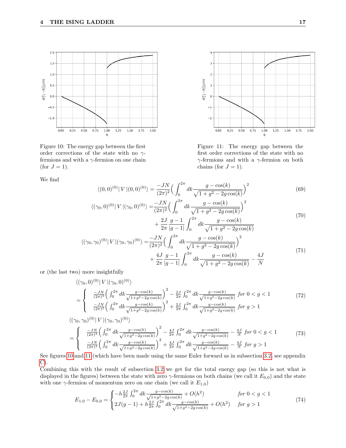<span id="page-19-0"></span>

Figure 10: The energy gap between the first order corrections of the state with no  $\gamma$ fermions and with a  $\gamma$ -fermion on one chain (for  $J = 1$ ).

We find



Figure 11: The energy gap between the first order corrections of the state with no  $\gamma$ -fermions and with a  $\gamma$ -fermion on both chains (for  $J = 1$ ).

$$
\langle (0,0)^{(0)} | V | (0,0)^{(0)} \rangle = \frac{-JN}{(2\pi)^2} \Big( \int_0^{2\pi} dk \frac{g - \cos(k)}{\sqrt{1 + g^2 - 2g \cos(k)}} \Big)^2 \tag{69}
$$

$$
\langle (\gamma_0, 0)^{(0)} | V | (\gamma_0, 0)^{(0)} \rangle = \frac{-JN}{(2\pi)^2} \Big( \int_0^{2\pi} dk \frac{g - \cos(k)}{\sqrt{1 + g^2 - 2g \cos(k)}} \Big)^2 + \frac{2J}{2\pi} \frac{g - 1}{|g - 1|} \int_0^{2\pi} dk \frac{g - \cos(k)}{\sqrt{1 + g^2 - 2g \cos(k)}} \tag{70}
$$

$$
\langle (\gamma_0, \gamma_0)^{(0)} | V | (\gamma_0, \gamma_0)^{(0)} \rangle = \frac{-JN}{(2\pi)^2} \Big( \int_0^{2\pi} dk \frac{g - \cos(k)}{\sqrt{1 + g^2 - 2g \cos(k)}} \Big)^2 + \frac{4J}{2\pi} \frac{g - 1}{|g - 1|} \int_0^{2\pi} dk \frac{g - \cos(k)}{\sqrt{1 + g^2 - 2g \cos(k)}} - \frac{4J}{N} \tag{71}
$$

or (the last two) more insightfully

$$
\langle (\gamma_0, 0)^{(0)} | V | (\gamma_0, 0)^{(0)} \rangle
$$
\n
$$
= \begin{cases}\n\frac{-JN}{(2\pi)^2} \left( \int_0^{2\pi} dk \frac{g - \cos(k)}{\sqrt{1 + g^2 - 2g \cos(k)}} \right)^2 - \frac{2J}{2\pi} \int_0^{2\pi} dk \frac{g - \cos(k)}{\sqrt{1 + g^2 - 2g \cos(k)}} \text{ for } 0 < g < 1 \\
\frac{-JN}{(2\pi)^2} \left( \int_0^{2\pi} dk \frac{g - \cos(k)}{\sqrt{1 + g^2 - 2g \cos(k)}} \right)^2 + \frac{2J}{2\pi} \int_0^{2\pi} dk \frac{g - \cos(k)}{\sqrt{1 + g^2 - 2g \cos(k)}} \text{ for } g > 1\n\end{cases} \tag{72}
$$
\n
$$
\langle (\gamma_0, \gamma_0)^{(0)} | V | (\gamma_0, \gamma_0)^{(0)} \rangle
$$
\n
$$
= \begin{cases}\n\frac{-JN}{(2\pi)^2} \left( \int_0^{2\pi} dk \frac{g - \cos(k)}{\sqrt{1 + g^2 - 2g \cos(k)}} \right)^2 - \frac{4J}{2\pi} \int_0^{2\pi} dk \frac{g - \cos(k)}{\sqrt{1 + g^2 - 2g \cos(k)}} - \frac{4J}{N} \text{ for } 0 < g < 1 \\
\frac{-JN}{(2\pi)^2} \left( \int_0^{2\pi} dk \frac{g - \cos(k)}{\sqrt{1 + g^2 - 2g \cos(k)}} \right)^2 + \frac{4J}{2\pi} \int_0^{2\pi} dk \frac{g - \cos(k)}{\sqrt{1 + g^2 - 2g \cos(k)}} - \frac{4J}{N} \text{ for } g > 1\n\end{cases} \tag{73}
$$

See figures 10 and 11 (which have been made using the same Euler forward as in subsection 3.2, see appendix 
$$
C
$$
).

Combining this with the result of subsection [3.2](#page-11-0) we get for the total energy gap (so this is not what is displayed in the figures) between the state with zero  $\gamma$ -fermions on both chains (we call it  $E_{0,0}$ ) and the state with one  $\gamma$ -fermion of momentum zero on one chain (we call it  $E_{1,0}$ )

$$
E_{1,0} - E_{0,0} = \begin{cases} -h\frac{2J}{2\pi} \int_0^{2\pi} dk \frac{g - \cos(k)}{\sqrt{1 + g^2 - 2g\cos(k)}} + O(h^2) & \text{for } 0 < g < 1\\ 2J(g - 1) + h\frac{2J}{2\pi} \int_0^{2\pi} dk \frac{g - \cos(k)}{\sqrt{1 + g^2 - 2g\cos(k)}} + O(h^2) & \text{for } g > 1 \end{cases}
$$
(74)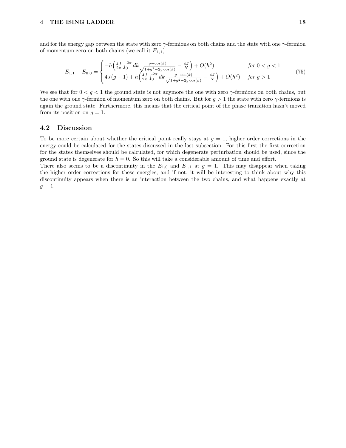and for the energy gap between the state with zero  $\gamma$ -fermions on both chains and the state with one  $\gamma$ -fermion of momentum zero on both chains (we call it  $E_{1,1}$ )

$$
E_{1,1} - E_{0,0} = \begin{cases} -h\left(\frac{4J}{2\pi} \int_0^{2\pi} dk \frac{g - \cos(k)}{\sqrt{1 + g^2 - 2g\cos(k)}} - \frac{4J}{N}\right) + O(h^2) & \text{for } 0 < g < 1\\ 4J(g-1) + h\left(\frac{4J}{2\pi} \int_0^{2\pi} dk \frac{g - \cos(k)}{\sqrt{1 + g^2 - 2g\cos(k)}} - \frac{4J}{N}\right) + O(h^2) & \text{for } g > 1 \end{cases}
$$
(75)

We see that for  $0 < g < 1$  the ground state is not anymore the one with zero  $\gamma$ -fermions on both chains, but the one with one  $\gamma$ -fermion of momentum zero on both chains. But for  $g > 1$  the state with zero  $\gamma$ -fermions is again the ground state. Furthermore, this means that the critical point of the phase transition hasn't moved from its position on  $g = 1$ .

#### <span id="page-20-0"></span>4.2 Discussion

To be more certain about whether the critical point really stays at  $q = 1$ , higher order corrections in the energy could be calculated for the states discussed in the last subsection. For this first the first correction for the states themselves should be calculated, for which degenerate perturbation should be used, since the ground state is degenerate for  $h = 0$ . So this will take a considerable amount of time and effort.

There also seems to be a discontinuity in the  $E_{1,0}$  and  $E_{1,1}$  at  $g=1$ . This may disappear when taking the higher order corrections for these energies, and if not, it will be interesting to think about why this discontinuity appears when there is an interaction between the two chains, and what happens exactly at  $g=1$ .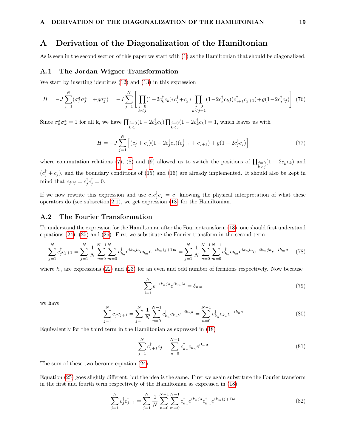### <span id="page-21-0"></span>A Derivation of the Diagonalization of the Hamiltonian

As is seen in the second section of this paper we start with [\(1\)](#page-3-2) as the Hamiltonian that should be diagonalized.

#### <span id="page-21-1"></span>A.1 The Jordan-Wigner Transformation

We start by inserting identities [\(12\)](#page-5-2) and [\(13\)](#page-5-3) in this expression

$$
H = -J\sum_{j=1}^{N} (\sigma_j^x \sigma_{j+1}^x + g\sigma_j^z) = -J\sum_{j=1}^{N} \left[ \prod_{\substack{j=0 \ k
$$

Since  $\sigma_k^x \sigma_k^x = 1$  for all k, we have  $\prod_{\substack{j=0 \ k < j}} (1 - 2c_k^{\dagger} c_k) \prod_{\substack{j=0 \ k < j}} (1 - 2c_k^{\dagger} c_k) = 1$ , which leaves us with

$$
H = -J\sum_{j=1}^{N} \left[ (c_j^{\dagger} + c_j)(1 - 2c_j^{\dagger}c_j)(c_{j+1}^{\dagger} + c_{j+1}) + g(1 - 2c_j^{\dagger}c_j) \right]
$$
(77)

where commutation relations [\(7\)](#page-5-4), [\(8\)](#page-5-5) and [\(9\)](#page-5-6) allowed us to switch the positions of  $\prod_{\substack{j=0 \ k < j}} (1 - 2c_k^{\dagger} c_k)$  and  $(c_j^{\dagger} + c_j)$ , and the boundary conditions of [\(15\)](#page-6-3) and [\(16\)](#page-6-4) are already implemented. It should also be kept in mind that  $c_j c_j = c_j^{\dagger} c_j^{\dagger} = 0$ .

If we now rewrite this expression and use  $c_j c_j^{\dagger} c_j = c_j$  knowing the physical interpretation of what these operators do (see subsection [2.1\)](#page-5-1), we get expression [\(18\)](#page-6-2) for the Hamiltonian.

#### <span id="page-21-2"></span>A.2 The Fourier Transformation

To understand the expression for the Hamiltonian after the Fourier transform [\(18\)](#page-6-2), one should first understand equations [\(24\)](#page-7-2), [\(25\)](#page-7-3) and [\(26\)](#page-7-4). First we substitute the Fourier transform in the second term

$$
\sum_{j=1}^{N} c_j^{\dagger} c_{j+1} = \sum_{j=1}^{N} \frac{1}{N} \sum_{n=0}^{N-1} \sum_{m=0}^{N-1} c_{k_n}^{\dagger} e^{ik_n j a} c_{k_m} e^{-ik_m (j+1)a} = \sum_{j=1}^{N} \frac{1}{N} \sum_{n=0}^{N-1} \sum_{m=0}^{N-1} c_{k_n}^{\dagger} c_{k_m} e^{ik_n j a} e^{-ik_m j a} e^{-ik_m a} \tag{78}
$$

where  $k_n$  are expressions [\(22\)](#page-7-0) and [\(23\)](#page-7-1) for an even and odd number of fermions respectively. Now because

<span id="page-21-3"></span>
$$
\sum_{j=1}^{N} e^{-ik_nja} e^{ik_mja} = \delta_{nm} \tag{79}
$$

we have

$$
\sum_{j=1}^{N} c_j^{\dagger} c_{j+1} = \sum_{j=1}^{N} \frac{1}{N} \sum_{n=0}^{N-1} c_{k_n}^{\dagger} c_{k_n} e^{-ik_n a} = \sum_{n=0}^{N-1} c_{k_n}^{\dagger} c_{k_n} e^{-ik_n a}
$$
(80)

Equivalently for the third term in the Hamiltonian as expressed in [\(18\)](#page-6-2)

$$
\sum_{j=1}^{N} c_{j+1}^{\dagger} c_j = \sum_{n=0}^{N-1} c_{k_n}^{\dagger} c_{k_n} e^{ik_n a}
$$
\n(81)

The sum of these two become equation [\(24\)](#page-7-2).

Equation [\(25\)](#page-7-3) goes slightly different, but the idea is the same. First we again substitute the Fourier transform in the first and fourth term respectively of the Hamiltonian as expressed in [\(18\)](#page-6-2).

$$
\sum_{j=1}^{N} c_j^{\dagger} c_{j+1}^{\dagger} = \sum_{j=1}^{N} \frac{1}{N} \sum_{n=0}^{N-1} \sum_{m=0}^{N-1} c_{k_n}^{\dagger} e^{ik_n j a} c_{k_m}^{\dagger} e^{ik_m (j+1)a}
$$
(82)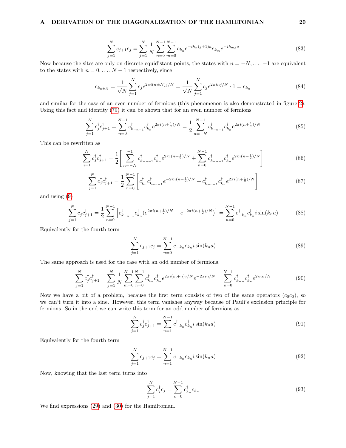$$
\sum_{j=1}^{N} c_{j+1} c_j = \sum_{j=1}^{N} \frac{1}{N} \sum_{n=0}^{N-1} \sum_{m=0}^{N-1} c_{k_n} e^{-ik_n(j+1)a} c_{k_m} e^{-ik_mja}
$$
(83)

Now because the sites are only on discrete equidistant points, the states with  $n = -N, \ldots, -1$  are equivalent to the states with  $n = 0, \ldots, N - 1$  respectively, since

<span id="page-22-0"></span>
$$
c_{k_{n\pm N}} = \frac{1}{\sqrt{N}} \sum_{j=1}^{N} c_j e^{2\pi i (n\pm N)j/N} = \frac{1}{\sqrt{N}} \sum_{j=1}^{N} c_j e^{2\pi i n j/N} \cdot 1 = c_{k_n}
$$
(84)

and similar for the case of an even number of fermions (this phenomenon is also demonstrated in figure [2\)](#page-6-1). Using this fact and identity [\(79\)](#page-21-3) it can be shown that for an even number of fermions

$$
\sum_{j=1}^{N} c_j^{\dagger} c_{j+1}^{\dagger} = \sum_{n=0}^{N-1} c_{k_{-n-1}}^{\dagger} c_{k_n}^{\dagger} e^{2\pi i (n + \frac{1}{2})/N} = \frac{1}{2} \sum_{n=-N}^{N-1} c_{k_{-n-1}}^{\dagger} c_{k_n}^{\dagger} e^{2\pi i (n + \frac{1}{2})/N}
$$
(85)

This can be rewritten as

$$
\sum_{j=1}^{N} c_j^{\dagger} c_{j+1}^{\dagger} = \frac{1}{2} \left[ \sum_{n=-N}^{-1} c_{k_{-n-1}}^{\dagger} c_{k_n}^{\dagger} e^{2\pi i (n + \frac{1}{2})/N} + \sum_{n=0}^{N-1} c_{k_{-n-1}}^{\dagger} c_{k_n}^{\dagger} e^{2\pi i (n + \frac{1}{2})/N} \right]
$$
(86)

$$
\sum_{j=1}^{N} c_j^{\dagger} c_{j+1}^{\dagger} = \frac{1}{2} \sum_{n=0}^{N-1} \left[ c_{k_n}^{\dagger} c_{k_{-n-1}}^{\dagger} e^{-2\pi i (n + \frac{1}{2})/N} + c_{k_{-n-1}}^{\dagger} c_{k_n}^{\dagger} e^{2\pi i (n + \frac{1}{2})/N} \right]
$$
(87)

and using [\(9\)](#page-5-6)

$$
\sum_{j=1}^{N} c_j^{\dagger} c_{j+1}^{\dagger} = \frac{1}{2} \sum_{n=0}^{N-1} \left[ c_{k_{-n-1}}^{\dagger} c_{k_n}^{\dagger} (e^{2\pi i (n + \frac{1}{2})/N} - e^{-2\pi i (n + \frac{1}{2})/N}) \right] = \sum_{n=0}^{N-1} c_{-k_n}^{\dagger} c_{k_n}^{\dagger} i \sin(k_n a)
$$
(88)

Equivalently for the fourth term

$$
\sum_{j=1}^{N} c_{j+1} c_j = \sum_{n=0}^{N-1} c_{-k_n} c_{k_n} i \sin(k_n a)
$$
\n(89)

The same approach is used for the case with an odd number of fermions.

$$
\sum_{j=1}^{N} c_j^{\dagger} c_{j+1}^{\dagger} = \sum_{j=1}^{N} \frac{1}{N} \sum_{m=0}^{N-1} \sum_{n=0}^{N-1} c_{k_m}^{\dagger} c_{k_n}^{\dagger} e^{2\pi i (m+n)j/N} e^{-2\pi i n/N} = \sum_{n=0}^{N-1} c_{k_n}^{\dagger} c_{k_n}^{\dagger} e^{2\pi i n/N}
$$
(90)

Now we have a bit of a problem, because the first term consists of two of the same operators  $(c_0c_0)$ , so we can't turn it into a sine. However, this term vanishes anyway because of Pauli's exclusion principle for fermions. So in the end we can write this term for an odd number of fermions as

$$
\sum_{j=1}^{N} c_j^{\dagger} c_{j+1}^{\dagger} = \sum_{n=1}^{N-1} c_{-k_n}^{\dagger} c_{k_n}^{\dagger} i \sin(k_n a)
$$
\n(91)

Equivalently for the fourth term

$$
\sum_{j=1}^{N} c_{j+1} c_j = \sum_{n=1}^{N-1} c_{-k_n} c_{k_n} i \sin(k_n a)
$$
\n(92)

Now, knowing that the last term turns into

$$
\sum_{j=1}^{N} c_j^{\dagger} c_j = \sum_{n=0}^{N-1} c_{k_n}^{\dagger} c_{k_n}
$$
\n(93)

We find expressions [\(29\)](#page-7-5) and [\(30\)](#page-7-6) for the Hamiltonian.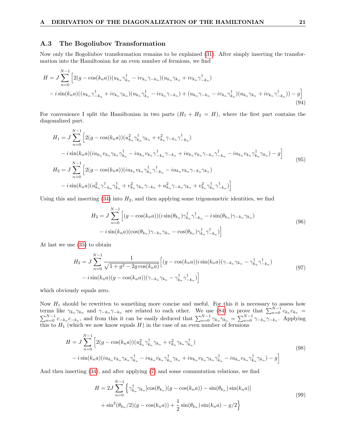#### <span id="page-23-0"></span>A.3 The Bogoliubov Transformation

Now only the Bogoliubov transformation remains to be explained [\(31\)](#page-8-3). After simply inserting the transformation into the Hamiltonian for an even number of fermions, we find

$$
H = J \sum_{n=0}^{N-1} \left[ 2(g - \cos(k_n a))(u_{k_n} \gamma_{k_n}^{\dagger} - i v_{k_n} \gamma_{-k_n})(u_{k_n} \gamma_{k_n} + i v_{k_n} \gamma_{-k_n}^{\dagger}) - i \sin(k_n a)((u_{k_n} \gamma_{-k_n}^{\dagger} + i v_{k_n} \gamma_{k_n})(u_{k_n} \gamma_{k_n}^{\dagger} - i v_{k_n} \gamma_{-k_n}) + (u_{k_n} \gamma_{-k_n} - i v_{k_n} \gamma_{k_n}^{\dagger})(u_{k_n} \gamma_{k_n} + i v_{k_n} \gamma_{-k_n}^{\dagger})) - g \right]
$$
\n
$$
(94)
$$

For convenience I split the Hamiltonian in two parts  $(H_1 + H_2 = H)$ , where the first part contains the diagonalized part.

$$
H_{1} = J \sum_{n=0}^{N-1} \left[ 2(g - \cos(k_{n}a))(u_{k_{n}}^{2} \gamma_{k_{n}}^{\dagger} \gamma_{k_{n}} + v_{k_{n}}^{2} \gamma_{-k_{n}} \gamma_{-k_{n}}^{\dagger}) - i \sin(k_{n}a)(iu_{k_{n}} v_{k_{n}} \gamma_{k_{n}} \gamma_{k_{n}}^{\dagger} - iu_{k_{n}} v_{k_{n}} \gamma_{-k_{n}}^{\dagger} \gamma_{-k_{n}} + iu_{k_{n}} v_{k_{n}} \gamma_{-k_{n}} \gamma_{-k_{n}}^{\dagger} - iu_{k_{n}} v_{k_{n}} \gamma_{k_{n}}^{\dagger} \gamma_{k_{n}}) - g \right]
$$
  
\n
$$
H_{2} = J \sum_{n=0}^{N-1} \left[ 2(g - \cos(k_{n}a))(iu_{k_{n}} v_{k_{n}} \gamma_{k_{n}}^{\dagger} \gamma_{-k_{n}}^{\dagger} - iu_{k_{n}} v_{k_{n}} \gamma_{-k_{n}} \gamma_{k_{n}}) - i \sin(k_{n}a)(u_{k_{n}}^{2} \gamma_{-k_{n}}^{\dagger} \gamma_{k_{n}}^{\dagger} + v_{k_{n}}^{2} \gamma_{k_{n}} \gamma_{-k_{n}} + u_{k_{n}}^{2} \gamma_{-k_{n}} \gamma_{k_{n}} + v_{k_{n}}^{2} \gamma_{k_{n}}^{\dagger} \gamma_{-k_{n}}^{\dagger}) \right]
$$
\n(95)

Using this and inserting  $(34)$  into  $H_2$ , and then applying some trigonometric identities, we find

$$
H_2 = J \sum_{n=0}^{N-1} \left[ (g - \cos(k_n a))(i \sin(\theta_{k_n}) \gamma_{k_n}^\dagger \gamma_{-k_n}^\dagger - i \sin(\theta_{k_n}) \gamma_{-k_n} \gamma_{k_n}) - i \sin(k_n a)(\cos(\theta_{k_n}) \gamma_{-k_n} \gamma_{k_n} - \cos(\theta_{k_n}) \gamma_{k_n}^\dagger \gamma_{-k_n}^\dagger) \right]
$$
(96)

At last we use [\(35\)](#page-8-5) to obtain

$$
H_2 = J \sum_{n=0}^{N-1} \frac{1}{\sqrt{1+g^2 - 2g \cos(k_n a)}} \Big[ (g - \cos(k_n a)) i \sin(k_n a) (\gamma_{-k_n} \gamma_{k_n} - \gamma_{k_n}^{\dagger} \gamma_{-k_n}^{\dagger})
$$
  
-  $i \sin(k_n a) (g - \cos(k_n a)) (\gamma_{-k_n} \gamma_{k_n} - \gamma_{k_n}^{\dagger} \gamma_{-k_n}^{\dagger}) \Big]$  (97)

which obviously equals zero.

Now  $H_1$  should be rewritten to something more concise and useful. For this it is necessary to assess how terms like  $\gamma_{k_n} \gamma_{k_n}$  and  $\gamma_{-k_n} \gamma_{-k_n}$  are related to each other. We use [\(84\)](#page-22-0) to prove that  $\sum_{n=0}^{N-1} c_{k_n} c_{k_n} =$  $\sum_{n=0}^{N-1} c_{-k_n} c_{-k_n}$ , and from this it can be easily deduced that  $\sum_{n=0}^{N-1} \gamma_{k_n} \gamma_{k_n} = \sum_{n=0}^{N-1} \gamma_{-k_n} \gamma_{-k_n}$ . Applying this to  $H_1$  (which we now know equals  $H$ ) in the case of an even number of fermions

$$
H = J \sum_{n=0}^{N-1} \left[ 2(g - \cos(k_n a))(u_{k_n}^2 \gamma_{k_n}^\dagger \gamma_{k_n} + v_{k_n}^2 \gamma_{k_n} \gamma_{k_n}^\dagger) - i \sin(k_n a)(i u_{k_n} v_{k_n} \gamma_{k_n} + i u_{k_n} v_{k_n} \gamma_{k_n}^\dagger \gamma_{k_n} + i u_{k_n} v_{k_n} \gamma_{k_n} \gamma_{k_n} + i u_{k_n} v_{k_n} \gamma_{k_n}^\dagger \gamma_{k_n} - i u_{k_n} v_{k_n} \gamma_{k_n}^\dagger \gamma_{k_n} - g \right]
$$
\n(98)

And then inserting [\(34\)](#page-8-4), and after applying [\(7\)](#page-5-4) and some commutation relations, we find

$$
H = 2J \sum_{n=0}^{N-1} \left\{ \gamma_{k_n}^{\dagger} \gamma_{k_n} [\cos(\theta_{k_n}) (g - \cos(k_n a)) - \sin(\theta_{k_n}) \sin(k_n a)] + \sin^2(\theta_{k_n}/2) (g - \cos(k_n a)) + \frac{1}{2} \sin(\theta_{k_n}) \sin(k_n a) - g/2 \right\}
$$
\n(99)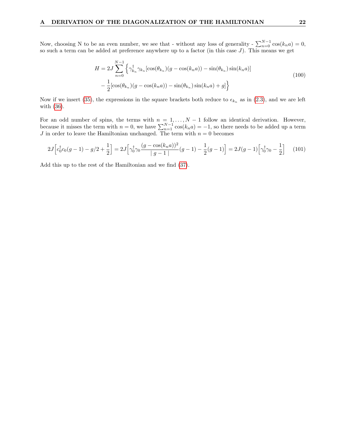Now, choosing N to be an even number, we see that - without any loss of generality -  $\sum_{n=0}^{N-1} \cos(k_n a) = 0$ , so such a term can be added at preference anywhere up to a factor (in this case  $J$ ). This means we get

$$
H = 2J \sum_{n=0}^{N-1} \left\{ \gamma_{k_n}^{\dagger} \gamma_{k_n} [\cos(\theta_{k_n}) (g - \cos(k_n a)) - \sin(\theta_{k_n}) \sin(k_n a)] - \frac{1}{2} [\cos(\theta_{k_n}) (g - \cos(k_n a)) - \sin(\theta_{k_n}) \sin(k_n a) + g] \right\}
$$
(100)

Now if we insert [\(35\)](#page-8-5), the expressions in the square brackets both reduce to  $\epsilon_{k_n}$  as in [\(2.3\)](#page-8-1), and we are left with [\(36\)](#page-8-1).

For an odd number of spins, the terms with  $n = 1, \ldots, N-1$  follow an identical derivation. However, because it misses the term with  $n = 0$ , we have  $\sum_{n=1}^{N-1} \cos(k_n a) = -1$ , so there needs to be added up a term J in order to leave the Hamiltonian unchanged. The term with  $n = 0$  becomes

$$
2J\Big[c_0^{\dagger}c_0(g-1) - g/2 + \frac{1}{2}\Big] = 2J\Big[\gamma_0^{\dagger}\gamma_0\frac{(g - \cos(k_n a))^2}{|g-1|}(g-1) - \frac{1}{2}(g-1)\Big] = 2J(g-1)\Big[\gamma_0^{\dagger}\gamma_0 - \frac{1}{2}\Big] \tag{101}
$$

Add this up to the rest of the Hamiltonian and we find [\(37\)](#page-8-2).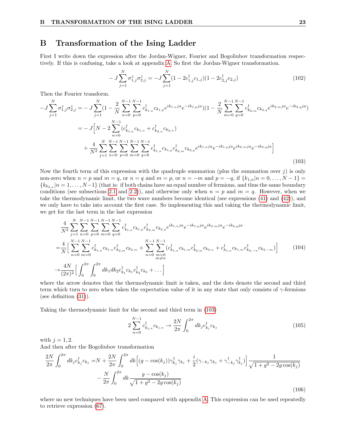## <span id="page-25-0"></span>B Transformation of the Ising Ladder

First I write down the expression after the Jordan-Wigner, Fourier and Bogoliubov transformation respectively. If this is confusing, take a look at appendix [A.](#page-21-0) So first the Jordan-Wigner transformation.

$$
- J \sum_{j=1}^{N} \sigma_{1,j}^{z} \sigma_{2,j}^{z} = -J \sum_{j=1}^{N} (1 - 2c_{1,j}^{\dagger} c_{1,j}) (1 - 2c_{2,j}^{\dagger} c_{2,j})
$$
(102)

Then the Fourier transform.

<span id="page-25-1"></span>
$$
-J\sum_{j=1}^{N} \sigma_{1,j}^{z} \sigma_{2,j}^{z} = -J\sum_{j=1}^{N} (1 - \frac{2}{N} \sum_{n=0}^{N-1} \sum_{p=0}^{N-1} c_{k_{1,n}}^{\dagger} c_{k_{1,p}} e^{ik_{1,n}ja} e^{-ik_{1,p}ja}) (1 - \frac{2}{N} \sum_{m=0}^{N-1} \sum_{q=0}^{N-1} c_{k_{2,m}}^{\dagger} c_{k_{2,n}} e^{ik_{2,m}ja} e^{-ik_{2,q}ja})
$$
  
\n
$$
= -J\left[N - 2 \sum_{n=0}^{N-1} (c_{k_{1,n}}^{\dagger} c_{k_{1,n}} + c_{k_{2,n}}^{\dagger} c_{k_{2,n}})
$$
  
\n
$$
+ \frac{4}{N^{2}} \sum_{j=1}^{N} \sum_{n=0}^{N-1} \sum_{p=0}^{N-1} \sum_{m=0}^{N-1} \sum_{q=0}^{N-1} c_{k_{1,n}}^{\dagger} c_{k_{1,n}} c_{k_{2,m}} c_{k_{2,q}} e^{ik_{1,n}ja} e^{-ik_{1,p}ja} e^{ik_{2,m}ja} e^{-ik_{2,q}ja}\right]
$$
\n(103)

Now the fourth term of this expression with the quadruple summation (plus the summation over  $j$ ) is only non-zero when  $n = p$  and  $m = q$ , or  $n = q$  and  $m = p$ , or  $n = -m$  and  $p = -q$ , if  ${k_{1,n}} | n = 0, \ldots, N - 1$  =  ${k_{k_{2,n}}|n=1,\ldots,N-1}$  (that is: if both chains have an equal number of fermions, and thus the same boundary conditions (see subsections [2.1](#page-5-1) and [2.2\)](#page-6-0)), and otherwise only when  $n = p$  and  $m = q$ . However, when we take the thermodynamic limit, the two wave numbers become identical (see expressions [\(41\)](#page-12-2) and [\(42\)](#page-12-3)), and we only have to take into account the first case. So implementing this and taking the thermodynamic limit, we get for the last term in the last expression

$$
\frac{4}{N^2} \sum_{j=1}^{N} \sum_{n=0}^{N-1} \sum_{p=0}^{N-1} \sum_{m=0}^{N-1} \sum_{q=0}^{N-1} c_{k_{1,n}}^{\dagger} c_{k_{1,p}} c_{k_{2,m}}^{\dagger} c_{k_{2,q}} e^{ik_{1,n}ja} e^{-ik_{1,p}ja} e^{ik_{2,m}ja} e^{-ik_{2,q}ja}
$$
\n
$$
= \frac{4}{N} \Big[ \sum_{n=0}^{N-1} \sum_{m=0}^{N-1} c_{k_{1,n}}^{\dagger} c_{k_{1,n}} c_{k_{2,m}} c_{k_{2,m}} + \sum_{n=0}^{N-1} \sum_{\substack{m=0 \ m \neq n}}^{N-1} (c_{k_{1,n}}^{\dagger} c_{k_{1,m}} c_{k_{2,m}} c_{k_{2,n}} + c_{k_{1,n}}^{\dagger} c_{k_{1,m}} c_{k_{2,-n}} c_{k_{2,-n}}) \Big] \tag{104}
$$
\n
$$
\rightarrow \frac{4N}{(2\pi)^2} \Big[ \int_0^{2\pi} \int_0^{2\pi} dk_1 dk_2 c_{k_1}^{\dagger} c_{k_1} c_{k_2}^{\dagger} c_{k_2} + \dots \Big]
$$

where the arrow denotes that the thermodynamic limit is taken, and the dots denote the second and third term which turn to zero when taken the expectation value of it in any state that only consists of  $\gamma$ -fermions (see definition [\(31\)](#page-8-3)).

Taking the thermodynamic limit for the second and third term in [\(103\)](#page-25-1)

$$
2\sum_{n=0}^{N-1} c_{k_{j,n}}^{\dagger} c_{k_{j,n}} \to \frac{2N}{2\pi} \int_0^{2\pi} dk_j c_{k_j}^{\dagger} c_{k_j}
$$
 (105)

with  $j = 1, 2$ .

And then after the Bogoliubov transformation

$$
\frac{2N}{2\pi} \int_0^{2\pi} dk_j c_{k_j}^\dagger c_{k_j} = N + \frac{2N}{2\pi} \int_0^{2\pi} dk \left[ (g - \cos(k_j)) \gamma_{k_j}^\dagger \gamma_{k_j} + \frac{i}{2} (\gamma_{-k_j} \gamma_{k_j} + \gamma_{-k_j}^\dagger \gamma_{k_j}^\dagger) \right] \frac{1}{\sqrt{1 + g^2 - 2g \cos(k_j)}} - \frac{N}{2\pi} \int_0^{2\pi} dk \frac{g - \cos(k_j)}{\sqrt{1 + g^2 - 2g \cos(k_j)}} \tag{106}
$$

where no new techniques have been used compared with appendix [A.](#page-21-0) This expression can be used repeatedly to retrieve expression [\(67\)](#page-18-2).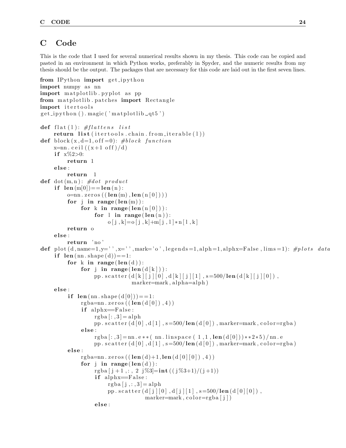## <span id="page-26-0"></span>C Code

This is the code that I used for several numerical results shown in my thesis. This code can be copied and pasted in an environment in which Python works, preferably in Spyder, and the numeric results from my thesis should be the output. The packages that are necessary for this code are laid out in the first seven lines.

```
from IPython import get_ipython
import numpy as nn
import matplotlib pyplot as pp
from matplotlib patches import Rectangle
import itertools
get\_ipython() . magic('math/to\_qt5')def flat(1): \#flat thens list
     return list (itertools. chain. from. iterable (1))def block (x, d=1, off=0): #block function
     x=nn. ceil((x+1 \text{ off})/d)if x\%2>0:
          return 1
     else:
          return 1
def dot (m, n): #dot product
     if len(m[0]) = len(n):
          o=nn. zeros ((len(m), len(n[0]))for j in range (\text{len}(m)):
               for k in range(len(n|0|)):
                    for l in range(len(n)):
                         o[j, k] = o[j, k] + m[j, l] * n[1, k]return o
     else:
          return 'no'
def plot (d, name=1,y=')', x=')', mark='o', legends=1, alpha=1, alpha=False, lims=1): # plots dataif len(nn.shape(d)) == 1:
          for k in range (\text{len}(d)):
               for j in range (\text{len}(\text{d}[k])):
                    pp. s c a t t e r (d [k] [j] [0], d [k] [j] [1], s = 500/len (d [k] [j] [0]),
                                  marker=mark, alpha=alph)
     else:
          if len (\text{nn} \cdot \text{shape}(d[0])) == 1:
               rgba=nn. z e ros ((len(d[0]), 4))if alphx=False:
                    rgba[:,3]=alphapp. scatter (d \begin{bmatrix} 0 \end{bmatrix}, d \begin{bmatrix} 1 \end{bmatrix}, s = 500/len(d \begin{bmatrix} 0 \end{bmatrix}), marker=mark, color=rgba)
               else:
                    rgba [:, 3] =nn. e * * ( nn. linspace ( 1, 1, len (d[0])) * * 2 * 5)/nn. e
                    pp. scatter (d[0], d[1], s=500/len(d[0]), marker=mark, color=rgba)
          else:
               rgba=nn.zeros ((\text{len}(d)+1, \text{len}(d[0][0]), 4))for j in range(len(d)):
                    rgba [j+1, : 2 \, j\%3] = \text{int} ((j\%3+1)/(j+1))if \text{ alpha} = False:rgba[j,:,3] = alphapp. scatter (d [ j ] [ 0 ] , d [ j ] [ 1 ] , s = 500/len (d [ 0 ] [ 0 ] ),
                                       market = mark, color = rgba[j])else:
```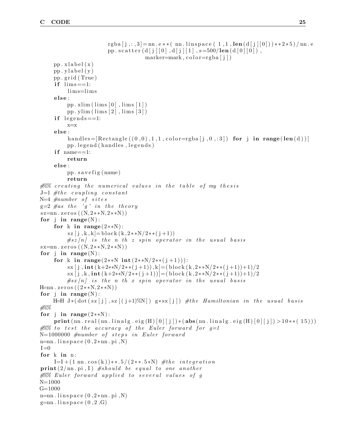```
rgba [i, j, j] = nn.e** (nn. linspace (1,1, len (d[j][0]))**2*5)/nn. e
                        pp. scatter (d [ j ] [ 0 ] , d [ j ] [ 1 ] , s = 500/len (d [ 0 ] [ 0 ] ),
                                      market = mark, color = rgba[j])pp. xlabel(x)pp. ylabel(y)pp . g ri d ( True )
     if \lim s == 1:
          lim s=lim s
     elsepp. xlim (lim s [0], lim s [1])pp. ylim (\lim_{s [2], \text{lims} [3])if legends ==1:
          x=x
     else :
          h and les = [Rectangle ((0,0),1,1,1,color=rgba[j,0,:3]) for j in range (len(d))]pp. legend (handles, legends)
     if name==1:
          return
     else :
          pp. s a v e f i g (name)
          return
\# \% creating the numerical values in the table of my thesis
J=1 #the coupling constant
N=4 #number of sites
g=2 #as the 'g' in the theory
sz = nn \cdot zeros ((N, 2**N, 2**N))for j in range(N):
     for k in range (2**N):
          sz [j, k, k] = block (k, 2**N/2** (j+1))#sz[n] is the n th z spin operator in the usual basis
sx=nn \cdot zeros((N, 2**N, 2**N))for \mathbf{j} in range (N):
     for k in range (2**N \int 2**N/2**(j+1)):
          s\bar{x} [ j , int (k+2**N/2*(j+1)) , k] = (block (k, 2**N/2**(j+1))+1)/2\frac{\sin{(j, k, int(k+2**N/2**(j+1))] = (block(k, 2**N/2**(j+1))+1)}{2}\#sx\left\lfloor n\right\rfloor is the n th x spin operator in the usual basis
H=nn \cdot zeros((2**N, 2**N))for j in range (N):
     H=H J * (dot (sz [j], sz [(j+1)%N]) g * sx [j]) # the Hamiltonian in the usual basis
#%%
for j in range (2**N):
     print (nn. real (nn. linalg. eig (H) [0][j] ) * (abs (nn. linalg. eig (H) [0][j]) > 10 * * (15)))
\frac{1}{200} to test the accuracy of the Euler forward for q=1N=1000000 #number of steps in Euler forward
n=nn. lin space(0, 2 * nn. pi, N)I=0for k in n:
     I=I+(1 \text{ nm} \cdot \cos(k)) * * . 5/(2**.5*N) #the integration
\textbf{print}(2/\text{nn}, \text{pi}, I) #should be equal to one another
\frac{1}{200} Euler forward applied to several values of g
N=1000
G=1000
n=nn. lin space(0, 2*nn. pi, N)g=nn. linspace (0, 2, G)
```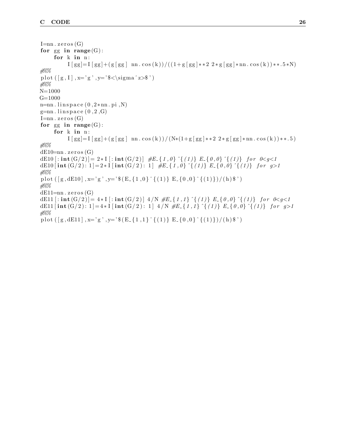```
I=nn. zeros (G)for gg in range(G):
     for k in n:
          I [ gg]=I [ gg]+(g [ gg ] mn. cos (k))/(1+g [ gg]*22*g [ gg]*nn. cos (k))**.5*N)#%%
plot ([g, I], x='g', y=' \sigma^z\#%%
N=1000
G=1000n=nn. lin space(0, 2 * nn. pi, N)g=nn. linspace (0, 2, G)I=nn. zeros (G)for gg in range(G):
     for k in n:
          I [ gg]=I [ gg]+(g [ gg ] nn. cos (k)) / (N*(1+g [gg] * * 2 2 * g [gg] * nn. cos (k)) * * . 5)
#%%
dE10=nn. zeros(G)dE10 [: int (G/2) = 2 * I [: int (G/2) \#E {1,0}\{ (1) \} E {0,0}\{ (1) \} for 0 < g < 1dE10 [ \text{int } G(3/2) : 1 ] = 2 * I [ \text{int } G(4/2) : 1 ] #E_{-} \{1,0\}^{(1)} E _{-} \{0,0\}^{(1)} for g>1
#%%
plot ([g, dE10], x='g', y='*(E_{-1, 0}^{(1)})^{(1)}E_{-0, 0}^{(1)})'(h);
#%%
dE11=nn. zeros(G)dE11 [: int (G/2)] = 4 * I[: int (G/2)] 4/N #E\{1,1\} \{(1)\} E\{0,0\} \{(1)\} for 0 < q < 1dE11 [ int (G/2) : 1 ] = 4 \ast I [ int (G/2) : 1 ] 4 /N \#E { 1, 1} \hat{\ } { (1)} E { 0, 0} \hat{\ } { (1)} for g>1
#%%
plot ([g, dE11], x='g', y='*(E_{-1, 1}^{(1)})^{(1)}E_{-0, 0}^{(1)}(1)]/(h);
```